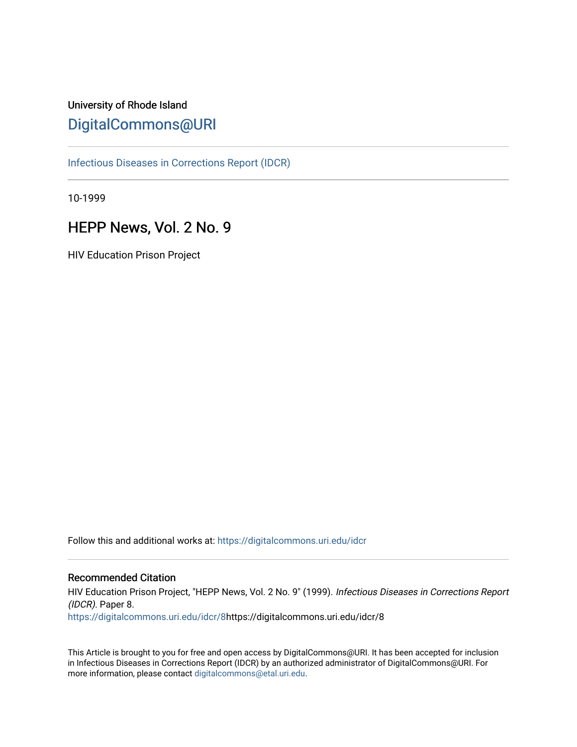# University of Rhode Island [DigitalCommons@URI](https://digitalcommons.uri.edu/)

[Infectious Diseases in Corrections Report \(IDCR\)](https://digitalcommons.uri.edu/idcr)

10-1999

# HEPP News, Vol. 2 No. 9

HIV Education Prison Project

Follow this and additional works at: [https://digitalcommons.uri.edu/idcr](https://digitalcommons.uri.edu/idcr?utm_source=digitalcommons.uri.edu%2Fidcr%2F8&utm_medium=PDF&utm_campaign=PDFCoverPages)

### Recommended Citation

HIV Education Prison Project, "HEPP News, Vol. 2 No. 9" (1999). Infectious Diseases in Corrections Report (IDCR). Paper 8. [https://digitalcommons.uri.edu/idcr/8](https://digitalcommons.uri.edu/idcr/8?utm_source=digitalcommons.uri.edu%2Fidcr%2F8&utm_medium=PDF&utm_campaign=PDFCoverPages)https://digitalcommons.uri.edu/idcr/8

This Article is brought to you for free and open access by DigitalCommons@URI. It has been accepted for inclusion in Infectious Diseases in Corrections Report (IDCR) by an authorized administrator of DigitalCommons@URI. For more information, please contact [digitalcommons@etal.uri.edu.](mailto:digitalcommons@etal.uri.edu)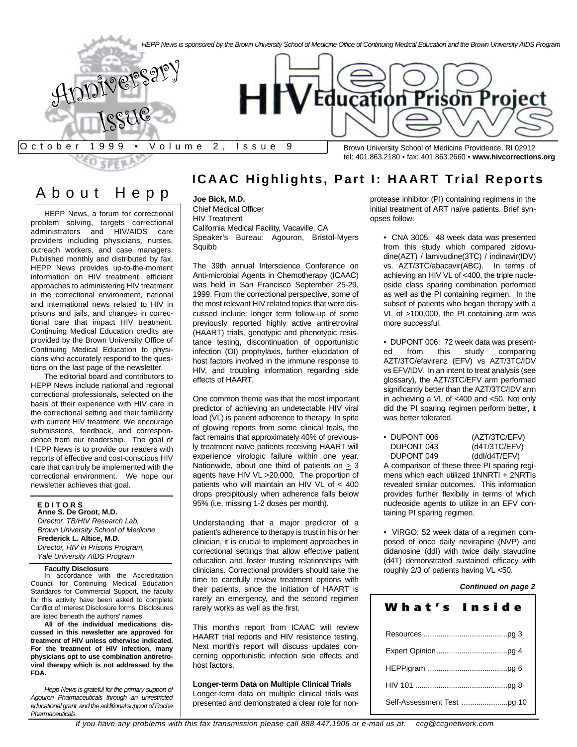

## About Hep p

HEPP News, a forum for correctional problem solving, targets correctional administrators and HIV/AIDS care providers including physicians, nurses, outreach workers, and case managers. Published monthly and distributed by fax, HEPP News provides up-to-the-moment information on HIV treatment, efficient approaches to administering HIV treatment in the correctional environment, national and international news related to HIV in prisons and jails, and changes in correctional care that impact HIV treatment. Continuing Medical Education credits are provided by the Brown University Office of Continuing Medical Education to physicians who accurately respond to the questions on the last page of the newsletter.

The editorial board and contributors to HEPP News include national and regional correctional professionals, selected on the basis of their experience with HIV care in the correctional setting and their familiarity with current HIV treatment. We encourage submissions, feedback, and correspondence from our readership. The goal of HEPP News is to provide our readers with reports of effective and cost-conscious HIV care that can truly be implemented with the correctional environment. We hope our newsletter achieves that goal.

### **E D I T O R S**

**Anne S. De Groot, M.D.** *Director, TB/HIV Research Lab, Brown University School of Medicine* **Frederick L. Altice, M.D.** *Director, HIV in Prisons Program, Yale University AIDS Program*

#### **Faculty Disclosure**

In accordance with the Accreditation Council for Continuing Medical Education Standards for Commercial Support, the faculty for this activity have been asked to complete Conflict of Interest Disclosure forms. Disclosures are listed beneath the authors' names.

**All of the individual medications discussed in this newsletter are approved for treatment of HIV unless otherwise indicated. For the treatment of HIV infection, many physicians opt to use combination antiretroviral therapy which is not addressed by the FDA.**

*Hepp News is grateful for the primary support of Agouron Pharmaceuticals through an unrestricted educational grant and the additional support of Roche Pharmaceuticals.*

## **ICAAC Highlights, Part I: HAART Trial Reports**

### **Joe Bick, M.D.**

Chief Medical Officer HIV Treatment California Medical Facility, Vacaville, CA Speaker's Bureau: Agouron, Bristol-Myers **Squibb** 

The 39th annual Interscience Conference on Anti-microbial Agents in Chemotherapy (ICAAC) was held in San Francisco September 25-29, 1999. From the correctional perspective, some of the most relevant HIV related topics that were discussed include: longer term follow-up of some previously reported highly active antiretroviral (HAART) trials, genotypic and phenotypic resistance testing, discontinuation of opportunistic infection (OI) prophylaxis, further elucidation of host factors involved in the immune response to HIV, and troubling information regarding side effects of HAART.

One common theme was that the most important predictor of achieving an undetectable HIV viral load (VL) is patient adherence to therapy. In spite of glowing reports from some clinical trials, the fact remains that approximately 40% of previously treatment naïve patients receiving HAART will experience virologic failure within one year. Nationwide, about one third of patients on > 3 agents have HIV VL >20,000. The proportion of patients who will maintain an HIV VL of < 400 drops precipitously when adherence falls below 95% (i.e. missing 1-2 doses per month).

Understanding that a major predictor of a patient's adherence to therapy is trust in his or her clinician, it is crucial to implement approaches in correctional settings that allow effective patient education and foster trusting relationships with clinicians. Correctional providers should take the time to carefully review treatment options with their patients, since the initiation of HAART is rarely an emergency, and the second regimen rarely works as well as the first.

This month's report from ICAAC will review HAART trial reports and HIV resistence testing. Next month's report will discuss updates concerning opportunistic infection side effects and host factors.

**Longer-term Data on Multiple Clinical Trials** Longer-term data on multiple clinical trials was presented and demonstrated a clear role for nonprotease inhibitor (PI) containing regimens in the initial treatment of ART naïve patients. Brief synopses follow:

• CNA 3005: 48 week data was presented from this study which compared zidovudine(AZT) / lamivudine(3TC) / indinavir(IDV) vs. AZT/3TC/abacavir(ABC). In terms of achieving an HIV VL of <400, the triple nucleoside class sparing combination performed as well as the PI containing regimen. In the subset of patients who began therapy with a VL of >100,000, the PI containing arm was more successful.

• DUPONT 006: 72 week data was presented from this study comparing AZT/3TC/efavirenz (EFV) vs AZT/3TC/IDV vs EFV/IDV. In an intent to treat analysis (see glossary), the AZT/3TC/EFV arm performed significantly better than the AZT/3TC/IDV arm in achieving a VL of <400 and <50. Not only did the PI sparing regimen perform better, it was better tolerated.

| • DUPONT 006 | (AZT/3TC/EFV) |
|--------------|---------------|
| DUPONT 043   | (d4T/3TC/EFV) |
| DUPONT 049   | (ddl/d4T/EFV) |
|              |               |

A comparison of these three PI sparing regimens which each utilized 1NNRTI + 2NRTIs revealed similar outcomes. This information provides further flexibiliy in terms of which nucleoside agents to utilize in an EFV containing PI sparing regimen.

• VIRGO: 52 week data of a regimen composed of once daily nevirapine (NVP) and didanosine (ddI) with twice daily stavudine (d4T) demonstrated sustained efficacy with roughly 2/3 of patients having VL <50.

### *Continued on page 2*

| What's Inside |  |
|---------------|--|
|               |  |
|               |  |
|               |  |
|               |  |
|               |  |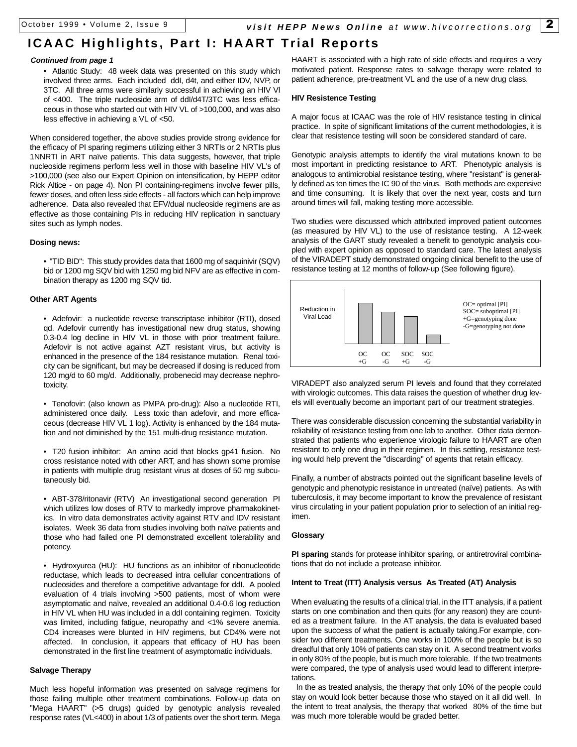# **ICAAC Highlights, Part I: HAART Trial Reports**

### *Continued from page 1*

• Atlantic Study: 48 week data was presented on this study which involved three arms. Each included ddI, d4t, and either IDV, NVP, or 3TC. All three arms were similarly successful in achieving an HIV Vl of <400. The triple nucleoside arm of ddI/d4T/3TC was less efficaceous in those who started out with HIV VL of >100,000, and was also less effective in achieving a VL of <50.

When considered together, the above studies provide strong evidence for the efficacy of PI sparing regimens utilizing either 3 NRTIs or 2 NRTIs plus 1NNRTI in ART naïve patients. This data suggests, however, that triple nucleoside regimens perform less well in those with baseline HIV VL's of >100,000 (see also our Expert Opinion on intensification, by HEPP editor Rick Altice - on page 4). Non PI containing-regimens involve fewer pills, fewer doses, and often less side effects - all factors which can help improve adherence. Data also revealed that EFV/dual nucleoside regimens are as effective as those containing PIs in reducing HIV replication in sanctuary sites such as lymph nodes.

### **Dosing news:**

• "TID BID": This study provides data that 1600 mg of saquinivir (SQV) bid or 1200 mg SQV bid with 1250 mg bid NFV are as effective in combination therapy as 1200 mg SQV tid.

### **Other ART Agents**

• Adefovir: a nucleotide reverse transcriptase inhibitor (RTI), dosed qd. Adefovir currently has investigational new drug status, showing 0.3-0.4 log decline in HIV VL in those with prior treatment failure. Adefovir is not active against AZT resistant virus, but activity is enhanced in the presence of the 184 resistance mutation. Renal toxicity can be significant, but may be decreased if dosing is reduced from 120 mg/d to 60 mg/d. Additionally, probenecid may decrease nephrotoxicity.

• Tenofovir: (also known as PMPA pro-drug): Also a nucleotide RTI, administered once daily. Less toxic than adefovir, and more efficaceous (decrease HIV VL 1 log). Activity is enhanced by the 184 mutation and not diminished by the 151 multi-drug resistance mutation.

• T20 fusion inhibitor: An amino acid that blocks gp41 fusion. No cross resistance noted with other ART, and has shown some promise in patients with multiple drug resistant virus at doses of 50 mg subcutaneously bid.

• ABT-378/ritonavir (RTV) An investigational second generation PI which utilizes low doses of RTV to markedly improve pharmakokinetics. In vitro data demonstrates activity against RTV and IDV resistant isolates. Week 36 data from studies involving both naïve patients and those who had failed one PI demonstrated excellent tolerability and potency.

• Hydroxyurea (HU): HU functions as an inhibitor of ribonucleotide reductase, which leads to decreased intra cellular concentrations of nucleosides and therefore a competitive advantage for ddI. A pooled evaluation of 4 trials involving >500 patients, most of whom were asymptomatic and naïve, revealed an additional 0.4-0.6 log reduction in HIV VL when HU was included in a ddI containing regimen. Toxicity was limited, including fatigue, neuropathy and <1% severe anemia. CD4 increases were blunted in HIV regimens, but CD4% were not affected. In conclusion, it appears that efficacy of HU has been demonstrated in the first line treatment of asymptomatic individuals.

### **Salvage Therapy**

Much less hopeful information was presented on salvage regimens for those failing multiple other treatment combinations. Follow-up data on "Mega HAART" (>5 drugs) guided by genotypic analysis revealed response rates (VL<400) in about 1/3 of patients over the short term. Mega

HAART is associated with a high rate of side effects and requires a very motivated patient. Response rates to salvage therapy were related to patient adherence, pre-treatment VL and the use of a new drug class.

#### **HIV Resistence Testing**

A major focus at ICAAC was the role of HIV resistance testing in clinical practice. In spite of significant limitations of the current methodologies, it is clear that resistence testing will soon be considered standard of care.

Genotypic analysis attempts to identify the viral mutations known to be most important in predicting resistance to ART. Phenotypic analysis is analogous to antimicrobial resistance testing, where "resistant" is generally defined as ten times the IC 90 of the virus. Both methods are expensive and time consuming. It is likely that over the next year, costs and turn around times will fall, making testing more accessible.

Two studies were discussed which attributed improved patient outcomes (as measured by HIV VL) to the use of resistance testing. A 12-week analysis of the GART study revealed a benefit to genotypic analysis coupled with expert opinion as opposed to standard care. The latest analysis of the VIRADEPT study demonstrated ongoing clinical benefit to the use of resistance testing at 12 months of follow-up (See following figure).



VIRADEPT also analyzed serum PI levels and found that they correlated with virologic outcomes. This data raises the question of whether drug levels will eventually become an important part of our treatment strategies.

There was considerable discussion concerning the substantial variability in reliability of resistance testing from one lab to another. Other data demonstrated that patients who experience virologic failure to HAART are often resistant to only one drug in their regimen. In this setting, resistance testing would help prevent the "discarding" of agents that retain efficacy.

Finally, a number of abstracts pointed out the significant baseline levels of genotypic and phenotypic resistance in untreated (naïve) patients. As with tuberculosis, it may become important to know the prevalence of resistant virus circulating in your patient population prior to selection of an initial regimen.

### **Glossary**

**PI sparing** stands for protease inhibitor sparing, or antiretroviral combinations that do not include a protease inhibitor.

### **Intent to Treat (ITT) Analysis versus As Treated (AT) Analysis**

When evaluating the results of a clinical trial, in the ITT analysis, if a patient starts on one combination and then quits (for any reason) they are counted as a treatment failure. In the AT analysis, the data is evaluated based upon the success of what the patient is actually taking.For example, consider two different treatments. One works in 100% of the people but is so dreadful that only 10% of patients can stay on it. A second treatment works in only 80% of the people, but is much more tolerable. If the two treatments were compared, the type of analysis used would lead to different interpretations.

In the as treated analysis, the therapy that only 10% of the people could stay on would look better because those who stayed on it all did well. In the intent to treat analysis, the therapy that worked 80% of the time but was much more tolerable would be graded better.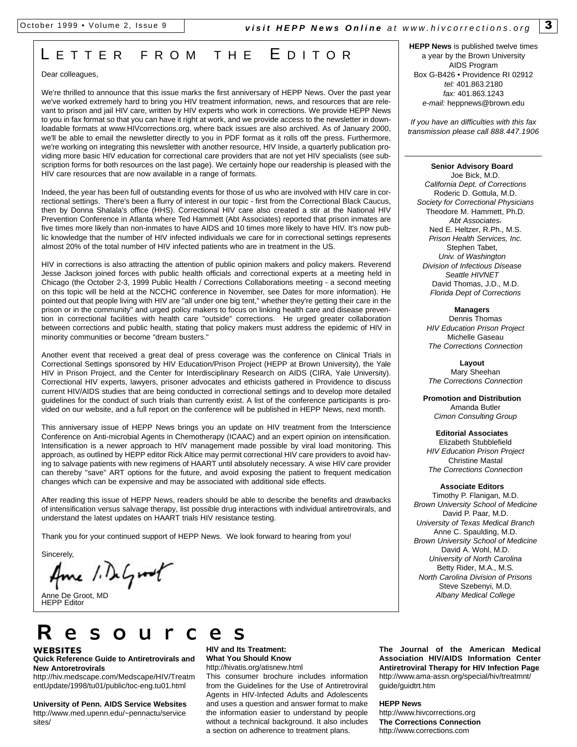## L ETTER FROM THE EDITOR

### Dear colleagues,

We're thrilled to announce that this issue marks the first anniversary of HEPP News. Over the past year we've worked extremely hard to bring you HIV treatment information, news, and resources that are relevant to prison and jail HIV care, written by HIV experts who work in corrections. We provide HEPP News to you in fax format so that you can have it right at work, and we provide access to the newsletter in downloadable formats at www.HIVcorrections.org, where back issues are also archived. As of January 2000, we'll be able to email the newsletter directly to you in PDF format as it rolls off the press. Furthermore, we're working on integrating this newsletter with another resource, HIV Inside, a quarterly publication providing more basic HIV education for correctional care providers that are not yet HIV specialists (see subscription forms for both resources on the last page). We certainly hope our readership is pleased with the HIV care resources that are now available in a range of formats.

Indeed, the year has been full of outstanding events for those of us who are involved with HIV care in correctional settings. There's been a flurry of interest in our topic - first from the Correctional Black Caucus, then by Donna Shalala's office (HHS). Correctional HIV care also created a stir at the National HIV Prevention Conference in Atlanta where Ted Hammett (Abt Associates) reported that prison inmates are five times more likely than non-inmates to have AIDS and 10 times more likely to have HIV. It's now public knowledge that the number of HIV infected individuals we care for in correctional settings represents almost 20% of the total number of HIV infected patients who are in treatment in the US.

HIV in corrections is also attracting the attention of public opinion makers and policy makers. Reverend Jesse Jackson joined forces with public health officials and correctional experts at a meeting held in Chicago (the October 2-3, 1999 Public Health / Corrections Collaborations meeting - a second meeting on this topic will be held at the NCCHC conference in November, see Dates for more information). He pointed out that people living with HIV are "all under one big tent," whether they're getting their care in the prison or in the community" and urged policy makers to focus on linking health care and disease prevention in correctional facilities with health care "outside" corrections. He urged greater collaboration between corrections and public health, stating that policy makers must address the epidemic of HIV in minority communities or become "dream busters."

Another event that received a great deal of press coverage was the conference on Clinical Trials in Correctional Settings sponsored by HIV Education/Prison Project (HEPP at Brown University), the Yale HIV in Prison Project, and the Center for Interdisciplinary Research on AIDS (CIRA, Yale University). Correctional HIV experts, lawyers, prisoner advocates and ethicists gathered in Providence to discuss current HIV/AIDS studies that are being conducted in correctional settings and to develop more detailed guidelines for the conduct of such trials than currently exist. A list of the conference participants is provided on our website, and a full report on the conference will be published in HEPP News, next month.

This anniversary issue of HEPP News brings you an update on HIV treatment from the Interscience Conference on Anti-microbial Agents in Chemotherapy (ICAAC) and an expert opinion on intensification. Intensification is a newer approach to HIV management made possible by viral load monitoring. This approach, as outlined by HEPP editor Rick Altice may permit correctional HIV care providers to avoid having to salvage patients with new regimens of HAART until absolutely necessary. A wise HIV care provider can thereby "save" ART options for the future, and avoid exposing the patient to frequent medication changes which can be expensive and may be associated with additional side effects.

After reading this issue of HEPP News, readers should be able to describe the benefits and drawbacks of intensification versus salvage therapy, list possible drug interactions with individual antiretrovirals, and understand the latest updates on HAART trials HIV resistance testing.

Thank you for your continued support of HEPP News. We look forward to hearing from you!

Resou rce s

Sincerely.

**WEBSITES**

sites/

**New Antoretrovirals**

Ame 1. DeGroot

**Quick Reference Guide to Antiretrovirals and**

http://hiv.medscape.com/Medscape/HIV/Treatm entUpdate/1998/tu01/public/toc-eng.tu01.html **University of Penn. AIDS Service Websites** http://www.med.upenn.edu/~pennactu/service

Anne De Groot, MD HEPP Editor

#### **HIV and Its Treatment: What You Should Know** http://hivatis.org/atisnew.html

This consumer brochure includes information from the Guidelines for the Use of Antiretroviral Agents in HIV-Infected Adults and Adolescents and uses a question and answer format to make the information easier to understand by people without a technical background. It also includes a section on adherence to treatment plans.

**HEPP News** is published twelve times a year by the Brown University AIDS Program Box G-B426 • Providence RI 02912 *tel:* 401.863.2180 *fax:* 401.863.1243 *e-mail:* heppnews@brown.edu

*If you have an difficulties with this fax transmission please call 888.447.1906*

#### **Senior Advisory Board**

Joe Bick, M.D. *California Dept. of Corrections* Roderic D. Gottula, M.D. *Society for Correctional Physicians* Theodore M. Hammett, Ph.D. **Abt Associates** Ned E. Heltzer, R.Ph., M.S. *Prison Health Services, Inc.* Stephen Tabet, *Univ. of Washington Division of Infectious Disease Seattle HIVNET* David Thomas, J.D., M.D. *Florida Dept of Corrections*

**Managers** Dennis Thomas *HIV Education Prison Project* Michelle Gaseau *The Corrections Connection*

**Layout**  Mary Sheehan *The Corrections Connection*

**Promotion and Distribution** Amanda Butler *Cimon Consulting Group*

**Editorial Associates** Elizabeth Stubblefield *HIV Education Prison Project* Christine Mastal *The Corrections Connection*

### **Associate Editors**

Timothy P. Flanigan, M.D. *Brown University School of Medicine* David P. Paar, M.D. *University of Texas Medical Branch* Anne C. Spaulding, M.D. *Brown University School of Medicine* David A. Wohl, M.D. *University of North Carolina* Betty Rider, M.A., M.S. *North Carolina Division of Prisons* Steve Szebenyi, M.D. *Albany Medical College*

**The Journal of the American Medical Association HIV/AIDS Information Center Antiretroviral Therapy for HIV Infection Page** http://www.ama-assn.org/special/hiv/treatmnt/ guide/guidtrt.htm

**HEPP News**

http://www.hivcorrections.org **The Corrections Connection** http://www.corrections.com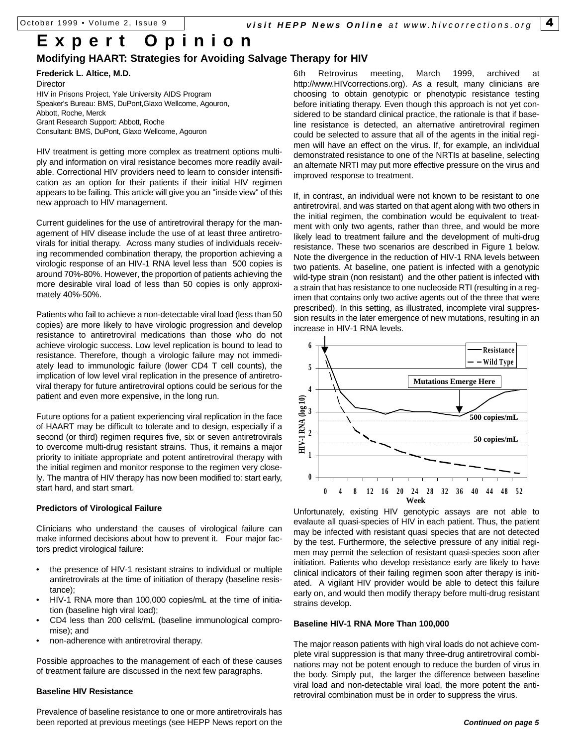# **Expert Opinion**

### **Modifying HAART: Strategies for Avoiding Salvage Therapy for HIV**

**Frederick L. Altice, M.D.** Director HIV in Prisons Project, Yale University AIDS Program Speaker's Bureau: BMS, DuPont,Glaxo Wellcome, Agouron, Abbott, Roche, Merck Grant Research Support: Abbott, Roche Consultant: BMS, DuPont, Glaxo Wellcome, Agouron

HIV treatment is getting more complex as treatment options multiply and information on viral resistance becomes more readily available. Correctional HIV providers need to learn to consider intensification as an option for their patients if their initial HIV regimen appears to be failing. This article will give you an "inside view" of this new approach to HIV management.

Current guidelines for the use of antiretroviral therapy for the management of HIV disease include the use of at least three antiretrovirals for initial therapy. Across many studies of individuals receiving recommended combination therapy, the proportion achieving a virologic response of an HIV-1 RNA level less than 500 copies is around 70%-80%. However, the proportion of patients achieving the more desirable viral load of less than 50 copies is only approximately 40%-50%.

Patients who fail to achieve a non-detectable viral load (less than 50 copies) are more likely to have virologic progression and develop resistance to antiretroviral medications than those who do not achieve virologic success. Low level replication is bound to lead to resistance. Therefore, though a virologic failure may not immediately lead to immunologic failure (lower CD4 T cell counts), the implication of low level viral replication in the presence of antiretroviral therapy for future antiretroviral options could be serious for the patient and even more expensive, in the long run.

Future options for a patient experiencing viral replication in the face of HAART may be difficult to tolerate and to design, especially if a second (or third) regimen requires five, six or seven antiretrovirals to overcome multi-drug resistant strains. Thus, it remains a major priority to initiate appropriate and potent antiretroviral therapy with the initial regimen and monitor response to the regimen very closely. The mantra of HIV therapy has now been modified to: start early, start hard, and start smart.

### **Predictors of Virological Failure**

Clinicians who understand the causes of virological failure can make informed decisions about how to prevent it. Four major factors predict virological failure:

- the presence of HIV-1 resistant strains to individual or multiple antiretrovirals at the time of initiation of therapy (baseline resistance);
- HIV-1 RNA more than 100,000 copies/mL at the time of initiation (baseline high viral load);
- CD4 less than 200 cells/mL (baseline immunological compromise); and
- non-adherence with antiretroviral therapy.

Possible approaches to the management of each of these causes of treatment failure are discussed in the next few paragraphs.

### **Baseline HIV Resistance**

Prevalence of baseline resistance to one or more antiretrovirals has been reported at previous meetings (see HEPP News report on the 6th Retrovirus meeting, March 1999, archived at http://www.HIVcorrections.org). As a result, many clinicians are choosing to obtain genotypic or phenotypic resistance testing before initiating therapy. Even though this approach is not yet considered to be standard clinical practice, the rationale is that if baseline resistance is detected, an alternative antiretroviral regimen could be selected to assure that all of the agents in the initial regimen will have an effect on the virus. If, for example, an individual demonstrated resistance to one of the NRTIs at baseline, selecting an alternate NRTI may put more effective pressure on the virus and improved response to treatment.

If, in contrast, an individual were not known to be resistant to one antiretroviral, and was started on that agent along with two others in the initial regimen, the combination would be equivalent to treatment with only two agents, rather than three, and would be more likely lead to treatment failure and the development of multi-drug resistance. These two scenarios are described in Figure 1 below. Note the divergence in the reduction of HIV-1 RNA levels between two patients. At baseline, one patient is infected with a genotypic wild-type strain (non resistant) and the other patient is infected with a strain that has resistance to one nucleoside RTI (resulting in a regimen that contains only two active agents out of the three that were prescribed). In this setting, as illustrated, incomplete viral suppression results in the later emergence of new mutations, resulting in an increase in HIV-1 RNA levels.



Unfortunately, existing HIV genotypic assays are not able to evalaute all quasi-species of HIV in each patient. Thus, the patient may be infected with resistant quasi species that are not detected by the test. Furthermore, the selective pressure of any initial regimen may permit the selection of resistant quasi-species soon after initiation. Patients who develop resistance early are likely to have clinical indicators of their failing regimen soon after therapy is initiated. A vigilant HIV provider would be able to detect this failure early on, and would then modify therapy before multi-drug resistant strains develop.

### **Baseline HIV-1 RNA More Than 100,000**

The major reason patients with high viral loads do not achieve complete viral suppression is that many three-drug antiretroviral combinations may not be potent enough to reduce the burden of virus in the body. Simply put, the larger the difference between baseline viral load and non-detectable viral load, the more potent the antiretroviral combination must be in order to suppress the virus.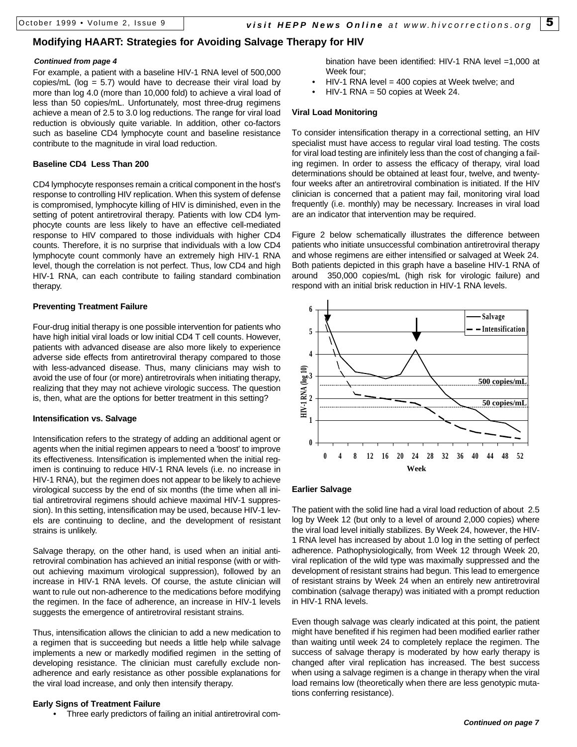### **Modifying HAART: Strategies for Avoiding Salvage Therapy for HIV**

### *Continued from page 4*

For example, a patient with a baseline HIV-1 RNA level of 500,000 copies/mL ( $log = 5.7$ ) would have to decrease their viral load by more than log 4.0 (more than 10,000 fold) to achieve a viral load of less than 50 copies/mL. Unfortunately, most three-drug regimens achieve a mean of 2.5 to 3.0 log reductions. The range for viral load reduction is obviously quite variable. In addition, other co-factors such as baseline CD4 lymphocyte count and baseline resistance contribute to the magnitude in viral load reduction.

### **Baseline CD4 Less Than 200**

CD4 lymphocyte responses remain a critical component in the host's response to controlling HIV replication. When this system of defense is compromised, lymphocyte killing of HIV is diminished, even in the setting of potent antiretroviral therapy. Patients with low CD4 lymphocyte counts are less likely to have an effective cell-mediated response to HIV compared to those individuals with higher CD4 counts. Therefore, it is no surprise that individuals with a low CD4 lymphocyte count commonly have an extremely high HIV-1 RNA level, though the correlation is not perfect. Thus, low CD4 and high HIV-1 RNA, can each contribute to failing standard combination therapy.

### **Preventing Treatment Failure**

Four-drug initial therapy is one possible intervention for patients who have high initial viral loads or low initial CD4 T cell counts. However, patients with advanced disease are also more likely to experience adverse side effects from antiretroviral therapy compared to those with less-advanced disease. Thus, many clinicians may wish to avoid the use of four (or more) antiretrovirals when initiating therapy, realizing that they may not achieve virologic success. The question is, then, what are the options for better treatment in this setting?

### **Intensification vs. Salvage**

Intensification refers to the strategy of adding an additional agent or agents when the initial regimen appears to need a 'boost' to improve its effectiveness. Intensification is implemented when the initial regimen is continuing to reduce HIV-1 RNA levels (i.e. no increase in HIV-1 RNA), but the regimen does not appear to be likely to achieve virological success by the end of six months (the time when all initial antiretroviral regimens should achieve maximal HIV-1 suppression). In this setting, intensification may be used, because HIV-1 levels are continuing to decline, and the development of resistant strains is unlikely.

Salvage therapy, on the other hand, is used when an initial antiretroviral combination has achieved an initial response (with or without achieving maximum virological suppression), followed by an increase in HIV-1 RNA levels. Of course, the astute clinician will want to rule out non-adherence to the medications before modifying the regimen. In the face of adherence, an increase in HIV-1 levels suggests the emergence of antiretroviral resistant strains.

Thus, intensification allows the clinician to add a new medication to a regimen that is succeeding but needs a little help while salvage implements a new or markedly modified regimen in the setting of developing resistance. The clinician must carefully exclude nonadherence and early resistance as other possible explanations for the viral load increase, and only then intensify therapy.

### **Early Signs of Treatment Failure**

• Three early predictors of failing an initial antiretroviral com-

bination have been identified: HIV-1 RNA level =1,000 at Week four;

- $HIV-1$  RNA level = 400 copies at Week twelve; and
- $HIV-1$  RNA = 50 copies at Week 24.

### **Viral Load Monitoring**

To consider intensification therapy in a correctional setting, an HIV specialist must have access to regular viral load testing. The costs for viral load testing are infinitely less than the cost of changing a failing regimen. In order to assess the efficacy of therapy, viral load determinations should be obtained at least four, twelve, and twentyfour weeks after an antiretroviral combination is initiated. If the HIV clinician is concerned that a patient may fail, monitoring viral load frequently (i.e. monthly) may be necessary. Increases in viral load are an indicator that intervention may be required.

Figure 2 below schematically illustrates the difference between patients who initiate unsuccessful combination antiretroviral therapy and whose regimens are either intensified or salvaged at Week 24. Both patients depicted in this graph have a baseline HIV-1 RNA of around 350,000 copies/mL (high risk for virologic failure) and respond with an initial brisk reduction in HIV-1 RNA levels.



### **Earlier Salvage**

The patient with the solid line had a viral load reduction of about 2.5 log by Week 12 (but only to a level of around 2,000 copies) where the viral load level initially stabilizes. By Week 24, however, the HIV-1 RNA level has increased by about 1.0 log in the setting of perfect adherence. Pathophysiologically, from Week 12 through Week 20, viral replication of the wild type was maximally suppressed and the development of resistant strains had begun. This lead to emergence of resistant strains by Week 24 when an entirely new antiretroviral combination (salvage therapy) was initiated with a prompt reduction in HIV-1 RNA levels.

Even though salvage was clearly indicated at this point, the patient might have benefited if his regimen had been modified earlier rather than waiting until week 24 to completely replace the regimen. The success of salvage therapy is moderated by how early therapy is changed after viral replication has increased. The best success when using a salvage regimen is a change in therapy when the viral load remains low (theoretically when there are less genotypic mutations conferring resistance).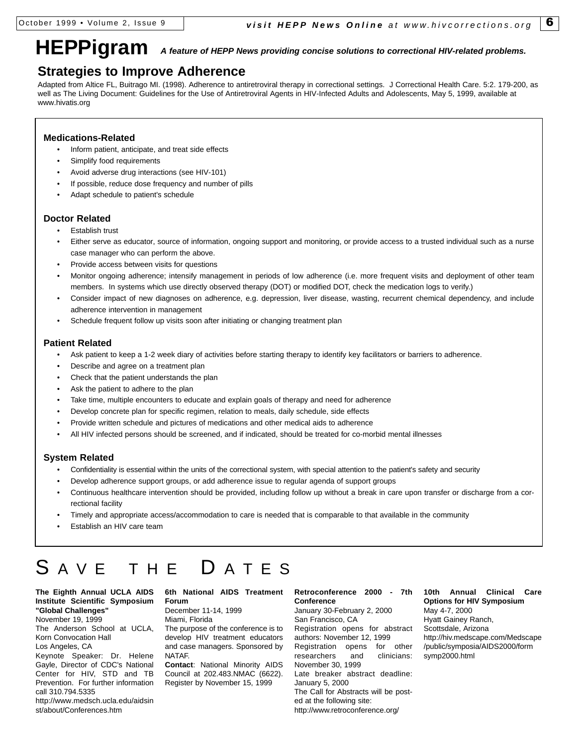# **HEPPigram** *A feature of HEPP News providing concise solutions to correctional HIV-related problems.*

### **Strategies to Improve Adherence**

Adapted from Altice FL, Buitrago MI. (1998). Adherence to antiretroviral therapy in correctional settings. J Correctional Health Care. 5:2. 179-200, as well as The Living Document: Guidelines for the Use of Antiretroviral Agents in HIV-Infected Adults and Adolescents, May 5, 1999, available at www.hivatis.org

### **Medications-Related**

- Inform patient, anticipate, and treat side effects
- Simplify food requirements
- Avoid adverse drug interactions (see HIV-101)
- If possible, reduce dose frequency and number of pills
- Adapt schedule to patient's schedule

### **Doctor Related**

- Establish trust
- Either serve as educator, source of information, ongoing support and monitoring, or provide access to a trusted individual such as a nurse case manager who can perform the above.
- Provide access between visits for questions
- Monitor ongoing adherence; intensify management in periods of low adherence (i.e. more frequent visits and deployment of other team members. In systems which use directly observed therapy (DOT) or modified DOT, check the medication logs to verify.)
- Consider impact of new diagnoses on adherence, e.g. depression, liver disease, wasting, recurrent chemical dependency, and include adherence intervention in management
- Schedule frequent follow up visits soon after initiating or changing treatment plan

### **Patient Related**

- Ask patient to keep a 1-2 week diary of activities before starting therapy to identify key facilitators or barriers to adherence.
- Describe and agree on a treatment plan
- Check that the patient understands the plan
- Ask the patient to adhere to the plan
- Take time, multiple encounters to educate and explain goals of therapy and need for adherence
- Develop concrete plan for specific regimen, relation to meals, daily schedule, side effects
- Provide written schedule and pictures of medications and other medical aids to adherence
- All HIV infected persons should be screened, and if indicated, should be treated for co-morbid mental illnesses

### **System Related**

- Confidentiality is essential within the units of the correctional system, with special attention to the patient's safety and security
- Develop adherence support groups, or add adherence issue to regular agenda of support groups
- Continuous healthcare intervention should be provided, including follow up without a break in care upon transfer or discharge from a correctional facility
- Timely and appropriate access/accommodation to care is needed that is comparable to that available in the community
- Establish an HIV care team

# SAVE THE DATES

### **The Eighth Annual UCLA AIDS Institute Scientific Symposium "Global Challenges"**

November 19, 1999 The Anderson School at UCLA, Korn Convocation Hall Los Angeles, CA Keynote Speaker: Dr. Helene

Gayle, Director of CDC's National Center for HIV, STD and TB Prevention. For further information call 310.794.5335 http://www.medsch.ucla.edu/aidsin

### st/about/Conferences.htm

### **6th National AIDS Treatment Forum**

December 11-14, 1999 Miami, Florida

The purpose of the conference is to develop HIV treatment educators and case managers. Sponsored by NATAF.

**Contact**: National Minority AIDS Council at 202.483.NMAC (6622). Register by November 15, 1999

### **Retroconference 2000 - 7th Conference**

January 30-February 2, 2000 San Francisco, CA Registration opens for abstract authors: November 12, 1999 Registration opens for other researchers and clinicians: November 30, 1999 Late breaker abstract deadline: January 5, 2000 The Call for Abstracts will be posted at the following site: http://www.retroconference.org/

**10th Annual Clinical Care Options for HIV Symposium** May 4-7, 2000 Hyatt Gainey Ranch, Scottsdale, Arizona http://hiv.medscape.com/Medscape /public/symposia/AIDS2000/form symp2000.html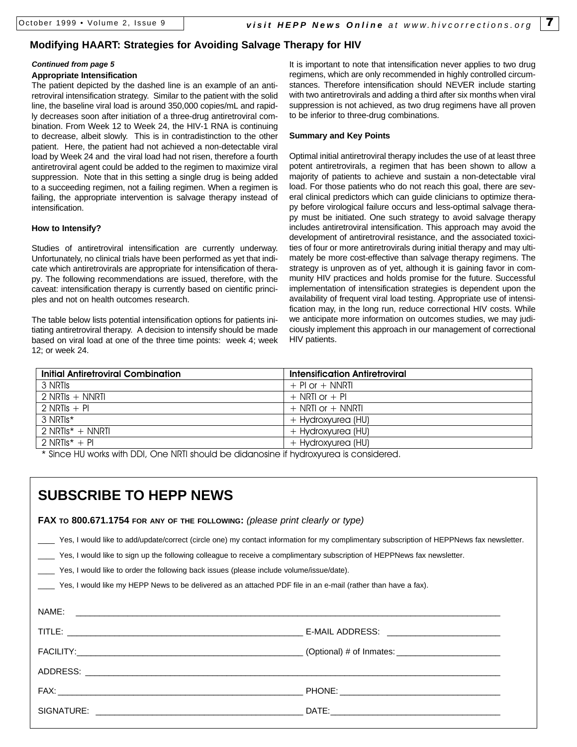### **Modifying HAART: Strategies for Avoiding Salvage Therapy for HIV**

### *Continued from page 5*

### **Appropriate Intensification**

The patient depicted by the dashed line is an example of an antiretroviral intensification strategy. Similar to the patient with the solid line, the baseline viral load is around 350,000 copies/mL and rapidly decreases soon after initiation of a three-drug antiretroviral combination. From Week 12 to Week 24, the HIV-1 RNA is continuing to decrease, albeit slowly. This is in contradistinction to the other patient. Here, the patient had not achieved a non-detectable viral load by Week 24 and the viral load had not risen, therefore a fourth antiretroviral agent could be added to the regimen to maximize viral suppression. Note that in this setting a single drug is being added to a succeeding regimen, not a failing regimen. When a regimen is failing, the appropriate intervention is salvage therapy instead of intensification.

### **How to Intensify?**

Studies of antiretroviral intensification are currently underway. Unfortunately, no clinical trials have been performed as yet that indicate which antiretrovirals are appropriate for intensification of therapy. The following recommendations are issued, therefore, with the caveat: intensification therapy is currently based on cientific principles and not on health outcomes research.

The table below lists potential intensification options for patients initiating antiretroviral therapy. A decision to intensify should be made based on viral load at one of the three time points: week 4; week 12; or week 24.

It is important to note that intensification never applies to two drug regimens, which are only recommended in highly controlled circumstances. Therefore intensification should NEVER include starting with two antiretrovirals and adding a third after six months when viral suppression is not achieved, as two drug regimens have all proven to be inferior to three-drug combinations.

### **Summary and Key Points**

Optimal initial antiretroviral therapy includes the use of at least three potent antiretrovirals, a regimen that has been shown to allow a majority of patients to achieve and sustain a non-detectable viral load. For those patients who do not reach this goal, there are several clinical predictors which can guide clinicians to optimize therapy before virological failure occurs and less-optimal salvage therapy must be initiated. One such strategy to avoid salvage therapy includes antiretroviral intensification. This approach may avoid the development of antiretroviral resistance, and the associated toxicities of four or more antiretrovirals during initial therapy and may ultimately be more cost-effective than salvage therapy regimens. The strategy is unproven as of yet, although it is gaining favor in community HIV practices and holds promise for the future. Successful implementation of intensification strategies is dependent upon the availability of frequent viral load testing. Appropriate use of intensification may, in the long run, reduce correctional HIV costs. While we anticipate more information on outcomes studies, we may judiciously implement this approach in our management of correctional HIV patients.

| <b>Intensification Antiretroviral</b> |  |
|---------------------------------------|--|
| $+$ Pl or $+$ NNRTI                   |  |
| $+$ NRTI or $+$ PI                    |  |
| $+$ NRTI or $+$ NNRTI                 |  |
| + Hydroxyurea (HU)                    |  |
| + Hydroxyurea (HU)                    |  |
| + Hydroxyurea (HU)                    |  |
|                                       |  |

\* Since HU works with DDI, One NRTI should be didanosine if hydroxyurea is considered.

| <b>SUBSCRIBE TO HEPP NEWS</b>                                                                                                                                                                                                                                                                                                                                                                                                                                                      |  |  |  |  |
|------------------------------------------------------------------------------------------------------------------------------------------------------------------------------------------------------------------------------------------------------------------------------------------------------------------------------------------------------------------------------------------------------------------------------------------------------------------------------------|--|--|--|--|
| FAX TO 800.671.1754 FOR ANY OF THE FOLLOWING: (please print clearly or type)                                                                                                                                                                                                                                                                                                                                                                                                       |  |  |  |  |
| Yes, I would like to add/update/correct (circle one) my contact information for my complimentary subscription of HEPPNews fax newsletter.<br>Yes, I would like to sign up the following colleague to receive a complimentary subscription of HEPPNews fax newsletter.<br>Yes, I would like to order the following back issues (please include volume/issue/date).<br>Yes, I would like my HEPP News to be delivered as an attached PDF file in an e-mail (rather than have a fax). |  |  |  |  |
|                                                                                                                                                                                                                                                                                                                                                                                                                                                                                    |  |  |  |  |
|                                                                                                                                                                                                                                                                                                                                                                                                                                                                                    |  |  |  |  |
|                                                                                                                                                                                                                                                                                                                                                                                                                                                                                    |  |  |  |  |
|                                                                                                                                                                                                                                                                                                                                                                                                                                                                                    |  |  |  |  |
|                                                                                                                                                                                                                                                                                                                                                                                                                                                                                    |  |  |  |  |
|                                                                                                                                                                                                                                                                                                                                                                                                                                                                                    |  |  |  |  |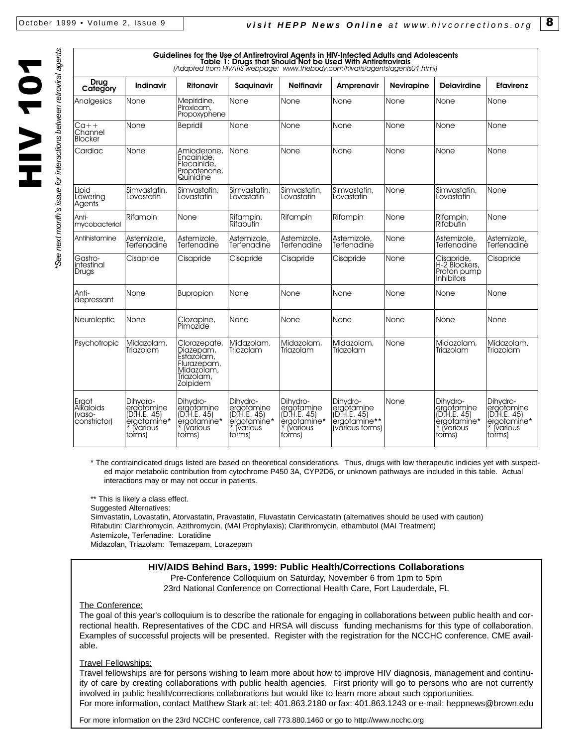**NOL AIH** 

See next month's issue for interactions between retroviral agents.

| Guidelines for the Use of Antiretroviral Agents in HIV-Infected Adults and Adolescents<br>Table 1: Drugs that Should Not be Used With Antiretrovirals<br>[Adapted from HIVATIS webpage: www.thebody.com/hivatis/agents/agents01.html] |                                                                            |                                                                                                |                                                                                  |                                                                                    |                                                                          |                   |                                                                                  |                                                                                    |
|---------------------------------------------------------------------------------------------------------------------------------------------------------------------------------------------------------------------------------------|----------------------------------------------------------------------------|------------------------------------------------------------------------------------------------|----------------------------------------------------------------------------------|------------------------------------------------------------------------------------|--------------------------------------------------------------------------|-------------------|----------------------------------------------------------------------------------|------------------------------------------------------------------------------------|
| Drug<br>Category                                                                                                                                                                                                                      | <b>Indinavir</b>                                                           | Ritonavir                                                                                      | Saquinavir                                                                       | <b>Nelfinavir</b>                                                                  | Amprenavir                                                               | <b>Nevirapine</b> | <b>Delavirdine</b>                                                               | <b>Efavirenz</b>                                                                   |
| Analgesics                                                                                                                                                                                                                            | None                                                                       | Mepiridine,<br>Piroxicam,<br>Propoxyphene                                                      | None                                                                             | None                                                                               | None                                                                     | None              | None                                                                             | None                                                                               |
| Ca++<br>Channel<br><b>Blocker</b>                                                                                                                                                                                                     | None                                                                       | <b>Bepridil</b>                                                                                | None                                                                             | None                                                                               | None                                                                     | None              | None                                                                             | None                                                                               |
| Cardiac                                                                                                                                                                                                                               | None                                                                       | Amioderone,<br>Encainide,<br>Flecainide,<br>Propafenone,<br>Quinidine                          | None                                                                             | None                                                                               | None                                                                     | None              | None                                                                             | None                                                                               |
| Lipid<br>Lowering<br>Agents                                                                                                                                                                                                           | Simvastatin,<br>Lovastatin                                                 | Simvastatin,<br>Lovastatin                                                                     | Simvastatin,<br>Lovastatin                                                       | Simvastatin,<br>Lovastatin                                                         | Simvastatin,<br>Lovastatin                                               | None              | Simvastatin,<br>Lovastatin                                                       | None                                                                               |
| Anti-<br>mycobacterial                                                                                                                                                                                                                | Rifampin                                                                   | None                                                                                           | Rifampin,<br>Rifabutin                                                           | Rifampin                                                                           | Rifampin                                                                 | None              | Rifampin,<br>Rifabutin                                                           | None                                                                               |
| Antihistamine                                                                                                                                                                                                                         | Astemizole,<br>Terfenadine                                                 | Astemizole,<br>Terfenadine                                                                     | Astemizole,<br>Terfenadine                                                       | Astemizole,<br>Terfenadine                                                         | Astemizole,<br>Terfenadine                                               | None              | Astemizole,<br>Terfenadine                                                       | Astemizole,<br>Terfenadine                                                         |
| Gastro-<br>intestinal<br>Drugs                                                                                                                                                                                                        | Cisapride                                                                  | Cisapride                                                                                      | Cisapride                                                                        | Cisapride                                                                          | Cisapride                                                                | None              | Cisapride,<br>H-2 Blockers,<br>Proton pump<br><b>Inhibitors</b>                  | Cisapride                                                                          |
| Anti-<br>depressant                                                                                                                                                                                                                   | None                                                                       | <b>Bupropion</b>                                                                               | None                                                                             | None                                                                               | None                                                                     | None              | None                                                                             | None                                                                               |
| <b>Neuroleptic</b>                                                                                                                                                                                                                    | None                                                                       | Clozapine,<br>Pimozide                                                                         | None                                                                             | None                                                                               | None                                                                     | None              | None                                                                             | <b>None</b>                                                                        |
| Psychotropic                                                                                                                                                                                                                          | Midazolam,<br>Triazolam                                                    | Clorazepate,<br>Diazepám,<br>Estazólam,<br>Flurazepam,<br>Midazolam,<br>Triazolam,<br>Zolpidem | Midazolam,<br>Triazolam                                                          | Midazolam,<br>Triazolam                                                            | Midazolam,<br>Triazolam                                                  | None              | Midazolam,<br>Triazolam                                                          | Midazolam,<br>Triazolam                                                            |
| Ergot<br>Alkaloids<br>(vaso-<br>constrictor)                                                                                                                                                                                          | Dihvdro-<br>ergotamine<br>(D.H.E. 45)<br>ergotamine*<br>lvarious<br>forms) | Dihvdro-<br>ergotamine<br>(D.H.E. 45)<br>ergotamine*<br>* (various<br>forms)                   | Dihvdro-<br>ergotamine<br>(D.H.E. 45)<br>ergotamine*<br><b>Narious</b><br>forms) | Dihvdro-<br>ergotamine<br>(D.H.E. 45)<br>ergotamine*<br><b>T</b> various<br>forms) | Dihydro-<br>ergotamine<br>(D.H.E. 45)<br>ergotamine**<br>(vārious forms) | None              | Dihvdro-<br>ergotamine<br>(D.H.E. 45)<br>ergotamine*<br><b>Narious</b><br>forms) | Dihvdro-<br>ergotamine<br>(D.H.E. 45)<br>ergotamine*<br><b>T</b> various<br>forms) |

\* The contraindicated drugs listed are based on theoretical considerations. Thus, drugs with low therapeutic indicies yet with suspected major metabolic contribution from cytochrome P450 3A, CYP2D6, or unknown pathways are included in this table. Actual interactions may or may not occur in patients.

\*\* This is likely a class effect.

Suggested Alternatives:

Simvastatin, Lovastatin, Atorvastatin, Pravastatin, Fluvastatin Cervicastatin (alternatives should be used with caution) Rifabutin: Clarithromycin, Azithromycin, (MAI Prophylaxis); Clarithromycin, ethambutol (MAI Treatment) Astemizole, Terfenadine: Loratidine

Midazolan, Triazolam: Temazepam, Lorazepam

### **HIV/AIDS Behind Bars, 1999: Public Health/Corrections Collaborations**

Pre-Conference Colloquium on Saturday, November 6 from 1pm to 5pm 23rd National Conference on Correctional Health Care, Fort Lauderdale, FL

The Conference:

The goal of this year's colloquium is to describe the rationale for engaging in collaborations between public health and correctional health. Representatives of the CDC and HRSA will discuss funding mechanisms for this type of collaboration. Examples of successful projects will be presented. Register with the registration for the NCCHC conference. CME available.

### **Travel Fellowships:**

Travel fellowships are for persons wishing to learn more about how to improve HIV diagnosis, management and continuity of care by creating collaborations with public health agencies. First priority will go to persons who are not currently involved in public health/corrections collaborations but would like to learn more about such opportunities. For more information, contact Matthew Stark at: tel: 401.863.2180 or fax: 401.863.1243 or e-mail: heppnews@brown.edu

For more information on the 23rd NCCHC conference, call 773.880.1460 or go to http://www.ncchc.org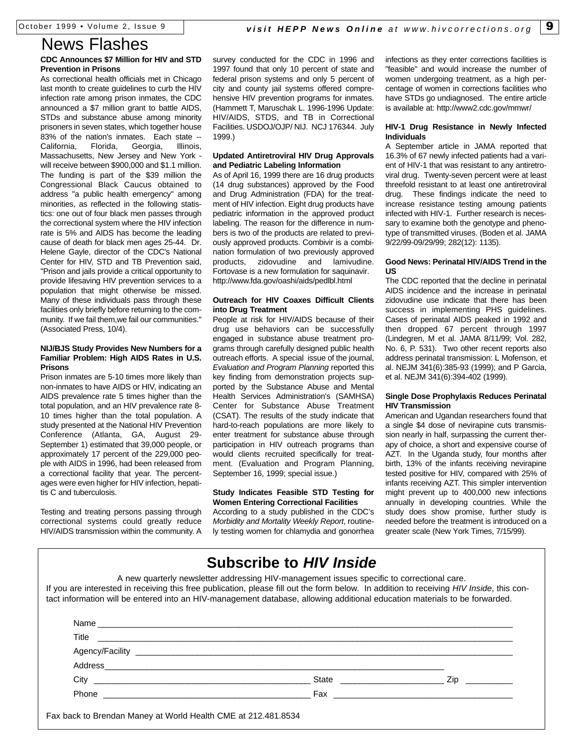# News Flashes

### **CDC Announces \$7 Million for HIV and STD Prevention in Prisons**

As correctional health officials met in Chicago last month to create guidelines to curb the HIV infection rate among prison inmates, the CDC announced a \$7 million grant to battle AIDS, STDs and substance abuse among minority prisoners in seven states, which together house 83% of the nation's inmates. Each state -- California, Florida, Georgia, Illinois, Massachusetts, New Jersey and New York will receive between \$900,000 and \$1.1 million. The funding is part of the \$39 million the Congressional Black Caucus obtained to address "a public health emergency" among minorities, as reflected in the following statistics: one out of four black men passes through the correctional system where the HIV infection rate is 5% and AIDS has become the leading cause of death for black men ages 25-44. Dr. Helene Gayle, director of the CDC's National Center for HIV, STD and TB Prevention said, "Prison and jails provide a critical opportunity to provide lifesaving HIV prevention services to a population that might otherwise be missed. Many of these individuals pass through these facilities only briefly before returning to the community. If we fail them,we fail our communities." (Associated Press, 10/4).

### **NIJ/BJS Study Provides New Numbers for a Familiar Problem: High AIDS Rates in U.S. Prisons**

Prison inmates are 5-10 times more likely than non-inmates to have AIDS or HIV, indicating an AIDS prevalence rate 5 times higher than the total population, and an HIV prevalence rate 8- 10 times higher than the total population. A study presented at the National HIV Prevention Conference (Atlanta, GA, August 29- September 1) estimated that 39,000 people, or approximately 17 percent of the 229,000 people with AIDS in 1996, had been released from a correctional facility that year. The percentages were even higher for HIV infection, hepatitis C and tuberculosis.

Testing and treating persons passing through correctional systems could greatly reduce HIV/AIDS transmission within the community. A survey conducted for the CDC in 1996 and 1997 found that only 10 percent of state and federal prison systems and only 5 percent of city and county jail systems offered comprehensive HIV prevention programs for inmates. (Hammett T, Maruschak L. 1996-1996 Update: HIV/AIDS, STDS, and TB in Correctional Facilities. USDOJ/OJP/ NIJ. NCJ 176344. July 1999.)

### **Updated Antiretroviral HIV Drug Approvals and Pediatric Labeling Information**

As of April 16, 1999 there are 16 drug products (14 drug substances) approved by the Food and Drug Administration (FDA) for the treatment of HIV infection. Eight drug products have pediatric information in the approved product labeling. The reason for the difference in numbers is two of the products are related to previously approved products. Combivir is a combination formulation of two previously approved products, zidovudine and lamivudine. Fortovase is a new formulation for saquinavir. http://www.fda.gov/oashi/aids/pedlbl.html

### **Outreach for HIV Coaxes Difficult Clients into Drug Treatment**

People at risk for HIV/AIDS because of their drug use behaviors can be successfully engaged in substance abuse treatment programs through carefully designed public health outreach efforts. A special issue of the journal, *Evaluation and Program Planning* reported this key finding from demonstration projects supported by the Substance Abuse and Mental Health Services Administration's (SAMHSA) Center for Substance Abuse Treatment (CSAT). The results of the study indicate that hard-to-reach populations are more likely to enter treatment for substance abuse through participation in HIV outreach programs than would clients recruited specifically for treatment. (Evaluation and Program Planning, September 16, 1999; special issue.)

### **Study Indicates Feasible STD Testing for Women Entering Correctional Facilities**

According to a study published in the CDC's *Morbidity and Mortality Weekly Report*, routinely testing women for chlamydia and gonorrhea infections as they enter corrections facilities is "feasible" and would increase the number of women undergoing treatment, as a high percentage of women in corrections facilities who have STDs go undiagnosed. The entire article is available at: http://www2.cdc.gov/mmwr/

### **HIV-1 Drug Resistance in Newly Infected Individuals**

A September article in JAMA reported that 16.3% of 67 newly infected patients had a varient of HIV-1 that was resistant to any antiretroviral drug. Twenty-seven percent were at least threefold resistant to at least one antiretroviral drug. These findings indicate the need to increase resistance testing amoung patients infected with HIV-1. Further research is necessary to examine both the genotype and phenotype of transmitted viruses. (Boden et al. JAMA 9/22/99-09/29/99; 282(12): 1135).

### **Good News: Perinatal HIV/AIDS Trend in the US**

The CDC reported that the decline in perinatal AIDS incidence and the increase in perinatal zidovudine use indicate that there has been success in implementing PHS guidelines. Cases of perinatal AIDS peaked in 1992 and then dropped 67 percent through 1997 (Lindegren, M et al. JAMA 8/11/99; Vol. 282, No. 6, P. 531). Two other recent reports also address perinatal transmission: L Mofenson, et al. NEJM 341(6):385-93 (1999); and P Garcia, et al. NEJM 341(6):394-402 (1999).

### **Single Dose Prophylaxis Reduces Perinatal HIV Transmission**

American and Ugandan researchers found that a single \$4 dose of nevirapine cuts transmission nearly in half, surpassing the current therapy of choice, a short and expensive course of AZT. In the Uganda study, four months after birth, 13% of the infants receiving nevirapine tested positive for HIV, compared with 25% of infants receiving AZT. This simpler intervention might prevent up to 400,000 new infections annually in developing countries. While the study does show promise, further study is needed before the treatment is introduced on a greater scale (New York Times, 7/15/99).

# **Subscribe to** *HIV Inside*

A new quarterly newsletter addressing HIV-management issues specific to correctional care. If you are interested in receiving this free publication, please fill out the form below. In addition to receiving *HIV Inside*, this contact information will be entered into an HIV-management database, allowing additional education materials to be forwarded.

|                                                            | Title |                |
|------------------------------------------------------------|-------|----------------|
|                                                            |       |                |
|                                                            |       |                |
|                                                            |       | $\mathsf{Zip}$ |
| Phone<br><u> 1989 - Jan Alexandro Alexander (h. 1982).</u> |       |                |

Fax back to Brendan Maney at World Health CME at 212.481.8534